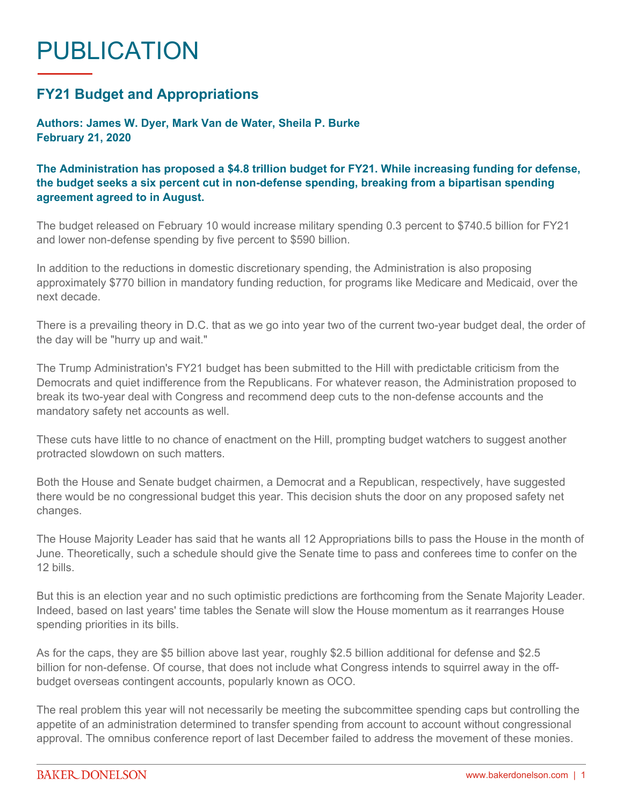## PUBLICATION

## **FY21 Budget and Appropriations**

**Authors: James W. Dyer, Mark Van de Water, Sheila P. Burke February 21, 2020**

## **The Administration has proposed a \$4.8 trillion budget for FY21. While increasing funding for defense, the budget seeks a six percent cut in non-defense spending, breaking from a bipartisan spending agreement agreed to in August.**

The budget released on February 10 would increase military spending 0.3 percent to \$740.5 billion for FY21 and lower non-defense spending by five percent to \$590 billion.

In addition to the reductions in domestic discretionary spending, the Administration is also proposing approximately \$770 billion in mandatory funding reduction, for programs like Medicare and Medicaid, over the next decade.

There is a prevailing theory in D.C. that as we go into year two of the current two-year budget deal, the order of the day will be "hurry up and wait."

The Trump Administration's FY21 budget has been submitted to the Hill with predictable criticism from the Democrats and quiet indifference from the Republicans. For whatever reason, the Administration proposed to break its two-year deal with Congress and recommend deep cuts to the non-defense accounts and the mandatory safety net accounts as well.

These cuts have little to no chance of enactment on the Hill, prompting budget watchers to suggest another protracted slowdown on such matters.

Both the House and Senate budget chairmen, a Democrat and a Republican, respectively, have suggested there would be no congressional budget this year. This decision shuts the door on any proposed safety net changes.

The House Majority Leader has said that he wants all 12 Appropriations bills to pass the House in the month of June. Theoretically, such a schedule should give the Senate time to pass and conferees time to confer on the 12 bills.

But this is an election year and no such optimistic predictions are forthcoming from the Senate Majority Leader. Indeed, based on last years' time tables the Senate will slow the House momentum as it rearranges House spending priorities in its bills.

As for the caps, they are \$5 billion above last year, roughly \$2.5 billion additional for defense and \$2.5 billion for non-defense. Of course, that does not include what Congress intends to squirrel away in the offbudget overseas contingent accounts, popularly known as OCO.

The real problem this year will not necessarily be meeting the subcommittee spending caps but controlling the appetite of an administration determined to transfer spending from account to account without congressional approval. The omnibus conference report of last December failed to address the movement of these monies.